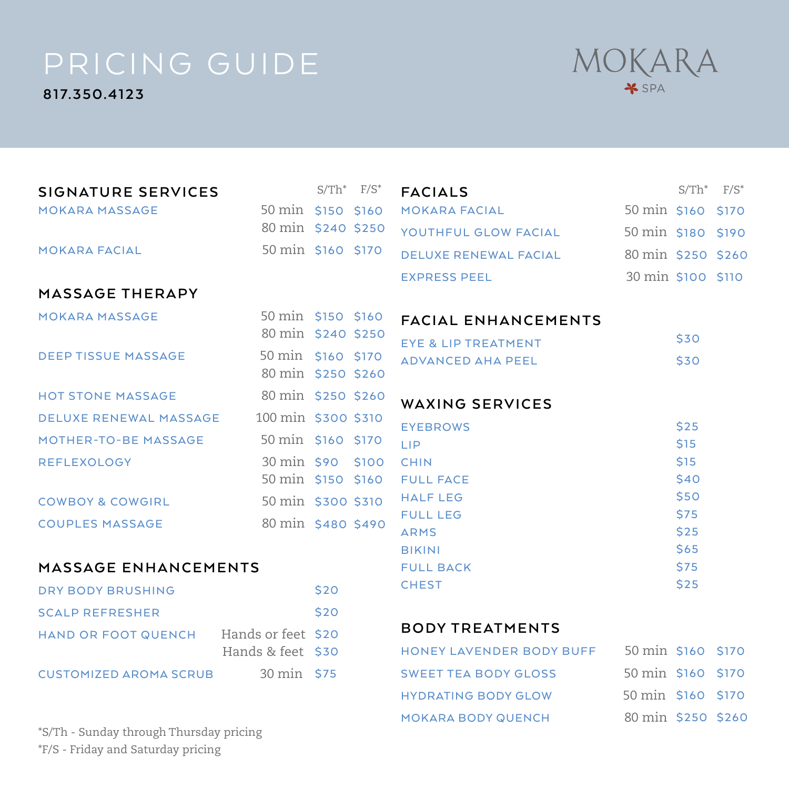**817.350.4123**



\$250 \$260

| SIGNATURE SERVICES                     |                     | $S/Th^*$ $F/S^*$ |                  | <b>FACIALS</b>                 |                    | $S/Th^*$     | $F/S^*$      |
|----------------------------------------|---------------------|------------------|------------------|--------------------------------|--------------------|--------------|--------------|
| <b>MOKARA MASSAGE</b>                  | 50 min \$150 \$160  |                  |                  | <b>MOKARA FACIAL</b>           | 50 min \$160       |              | <b>\$170</b> |
|                                        | 80 min \$240 \$250  |                  |                  | YOUTHFUL GLOW FACIAL           | 50 min \$180 \$190 |              |              |
| <b>MOKARA FACIAL</b>                   | 50 min \$160 \$170  |                  |                  | <b>DELUXE RENEWAL FACIAL</b>   | 80 min \$250 \$260 |              |              |
|                                        |                     |                  |                  | <b>EXPRESS PEEL</b>            | 30 min \$100 \$110 |              |              |
| MASSAGE THERAPY                        |                     |                  |                  |                                |                    |              |              |
| <b>MOKARA MASSAGE</b>                  | 50 min \$150 \$160  |                  |                  | <b>FACIAL ENHANCEMENTS</b>     |                    |              |              |
|                                        | 80 min \$240 \$250  |                  |                  | <b>EYE &amp; LIP TREATMENT</b> |                    | \$30         |              |
| <b>DEEP TISSUE MASSAGE</b>             | 50 min \$160 \$170  |                  |                  | <b>ADVANCED AHA PEEL</b>       |                    | \$30         |              |
|                                        | 80 min \$250 \$260  |                  |                  |                                |                    |              |              |
| <b>HOT STONE MASSAGE</b>               | 80 min \$250 \$260  |                  |                  | <b>WAXING SERVICES</b>         |                    |              |              |
| <b>DELUXE RENEWAL MASSAGE</b>          | 100 min \$300 \$310 |                  |                  | <b>EYEBROWS</b>                |                    | \$25         |              |
| MOTHER-TO-BE MASSAGE                   | 50 min \$160 \$170  |                  |                  | LIP                            |                    | <b>S15</b>   |              |
| <b>REFLEXOLOGY</b>                     | 30 min \$90 \$100   |                  |                  | <b>CHIN</b>                    |                    | <b>S15</b>   |              |
|                                        | 50 min \$150 \$160  |                  |                  | <b>FULL FACE</b>               |                    | \$40         |              |
| <b>COWBOY &amp; COWGIRL</b>            | 50 min \$300 \$310  |                  |                  | <b>HALF LEG</b>                |                    | \$50         |              |
| <b>COUPLES MASSAGE</b>                 | 80 min \$480 \$490  |                  |                  | <b>FULL LEG</b>                |                    | \$75         |              |
|                                        |                     |                  |                  | <b>ARMS</b><br><b>BIKINI</b>   |                    | \$25<br>\$65 |              |
| <b>MASSAGE ENHANCEMENTS</b>            |                     |                  | <b>FULL BACK</b> |                                | \$75               |              |              |
| <b>DRY BODY BRUSHING</b>               |                     | \$20             |                  | <b>CHEST</b>                   |                    | \$25         |              |
|                                        |                     |                  |                  |                                |                    |              |              |
| <b>SCALP REFRESHER</b>                 |                     | \$20             |                  | <b>BODY TREATMENTS</b>         |                    |              |              |
| HAND OR FOOT QUENCH Hands or feet \$20 |                     |                  |                  |                                |                    |              |              |
|                                        | Hands & feet \$30   |                  |                  | HONEY LAVENDER BODY BUFF       | 50 min \$160 \$170 |              |              |
| <b>CUSTOMIZED AROMA SCRUB</b>          | 30 min \$75         |                  |                  | <b>SWEET TEA BODY GLOSS</b>    | 50 min \$160       |              | <b>S170</b>  |
|                                        |                     |                  |                  | <b>HYDRATING BODY GLOW</b>     | 50 min \$160 \$170 |              |              |

MOKARA BODY QUENCH

\*S/Th - Sunday through Thursday pricing \*F/S - Friday and Saturday pricing